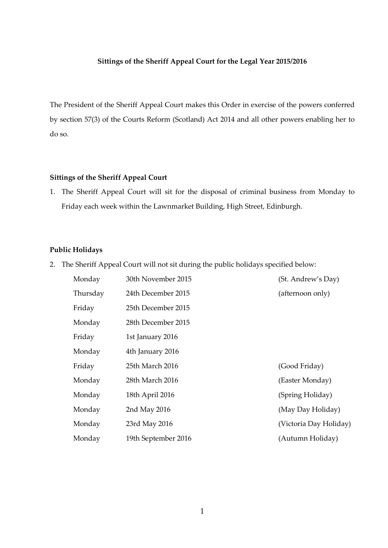## **Sittings of the Sheriff Appeal Court for the Legal Year 2015/2016**

The President of the Sheriff Appeal Court makes this Order in exercise of the powers conferred by section 57(3) of the Courts Reform (Scotland) Act 2014 and all other powers enabling her to do so.

## **Sittings of the Sheriff Appeal Court**

1. The Sheriff Appeal Court will sit for the disposal of criminal business from Monday to Friday each week within the Lawnmarket Building, High Street, Edinburgh.

## **Public Holidays**

2. The Sheriff Appeal Court will not sit during the public holidays specified below:

| Monday   | 30th November 2015  | (St. Andrew's Day)     |
|----------|---------------------|------------------------|
| Thursday | 24th December 2015  | (afternoon only)       |
| Friday   | 25th December 2015  |                        |
| Monday   | 28th December 2015  |                        |
| Friday   | 1st January 2016    |                        |
| Monday   | 4th January 2016    |                        |
| Friday   | 25th March 2016     | (Good Friday)          |
| Monday   | 28th March 2016     | (Easter Monday)        |
| Monday   | 18th April 2016     | (Spring Holiday)       |
| Monday   | 2nd May 2016        | (May Day Holiday)      |
| Monday   | 23rd May 2016       | (Victoria Day Holiday) |
| Monday   | 19th September 2016 | (Autumn Holiday)       |